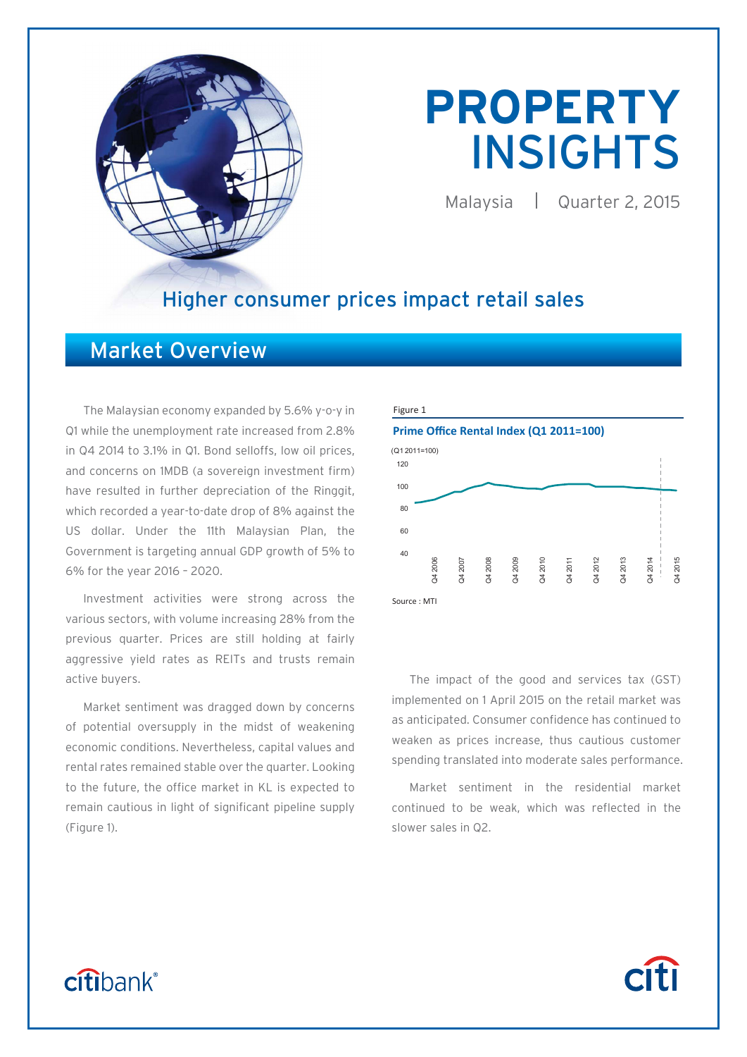

# **PROPERTY**  INSIGHTS

Malaysia | Quarter 2, 2015

### Higher consumer prices impact retail sales

### Market Overview

The Malaysian economy expanded by 5.6% y-o-y in Q1 while the unemployment rate increased from 2.8% in Q4 2014 to 3.1% in Q1. Bond selloffs, low oil prices, and concerns on 1MDB (a sovereign investment firm) have resulted in further depreciation of the Ringgit, which recorded a year-to-date drop of 8% against the US dollar. Under the 11th Malaysian Plan, the Government is targeting annual GDP growth of 5% to 6% for the year 2016 – 2020.

Investment activities were strong across the various sectors, with volume increasing 28% from the previous quarter. Prices are still holding at fairly aggressive yield rates as REITs and trusts remain active buyers.

Market sentiment was dragged down by concerns of potential oversupply in the midst of weakening economic conditions. Nevertheless, capital values and rental rates remained stable over the quarter. Looking to the future, the office market in KL is expected to remain cautious in light of significant pipeline supply (Figure 1).



The impact of the good and services tax (GST) implemented on 1 April 2015 on the retail market was as anticipated. Consumer confidence has continued to weaken as prices increase, thus cautious customer spending translated into moderate sales performance.

Market sentiment in the residential market continued to be weak, which was reflected in the slower sales in Q2.

## citibank®

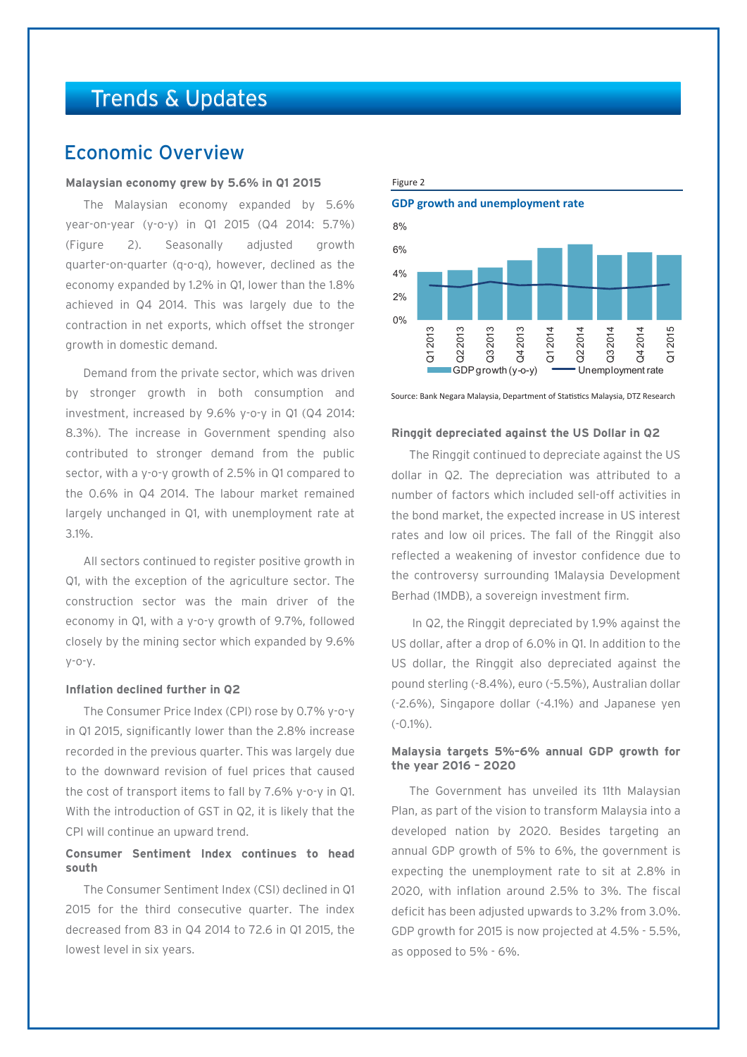### Trends & Updates

### Economic Overview

#### **Malaysian economy grew by 5.6% in Q1 2015**

The Malaysian economy expanded by 5.6% year-on-year (y-o-y) in Q1 2015 (Q4 2014: 5.7%) (Figure 2). Seasonally adjusted growth quarter-on-quarter (q-o-q), however, declined as the economy expanded by 1.2% in Q1, lower than the 1.8% achieved in Q4 2014. This was largely due to the contraction in net exports, which offset the stronger growth in domestic demand.

Demand from the private sector, which was driven by stronger growth in both consumption and investment, increased by 9.6% y-o-y in Q1 (Q4 2014: 8.3%). The increase in Government spending also contributed to stronger demand from the public sector, with a y-o-y growth of 2.5% in Q1 compared to the 0.6% in Q4 2014. The labour market remained largely unchanged in Q1, with unemployment rate at 3.1%.

All sectors continued to register positive growth in Q1, with the exception of the agriculture sector. The construction sector was the main driver of the economy in Q1, with a y-o-y growth of 9.7%, followed closely by the mining sector which expanded by 9.6% y-o-y.

#### **Inflation declined further in Q2**

The Consumer Price Index (CPI) rose by 0.7% y-o-y in Q1 2015, significantly lower than the 2.8% increase recorded in the previous quarter. This was largely due to the downward revision of fuel prices that caused the cost of transport items to fall by 7.6% y-o-y in Q1. With the introduction of GST in Q2, it is likely that the CPI will continue an upward trend.

#### **Consumer Sentiment Index continues to head south**

The Consumer Sentiment Index (CSI) declined in Q1 2015 for the third consecutive quarter. The index decreased from 83 in Q4 2014 to 72.6 in Q1 2015, the lowest level in six years.



Source: Bank Negara Malaysia, Department of Statistics Malaysia, DTZ Research

#### **Ringgit depreciated against the US Dollar in Q2**

The Ringgit continued to depreciate against the US dollar in Q2. The depreciation was attributed to a number of factors which included sell-off activities in the bond market, the expected increase in US interest rates and low oil prices. The fall of the Ringgit also reflected a weakening of investor confidence due to the controversy surrounding 1Malaysia Development Berhad (1MDB), a sovereign investment firm.

 In Q2, the Ringgit depreciated by 1.9% against the US dollar, after a drop of 6.0% in Q1. In addition to the US dollar, the Ringgit also depreciated against the pound sterling (-8.4%), euro (-5.5%), Australian dollar (-2.6%), Singapore dollar (-4.1%) and Japanese yen  $(-0.1\%)$ 

#### **Malaysia targets 5%–6% annual GDP growth for the year 2016 – 2020**

The Government has unveiled its 11th Malaysian Plan, as part of the vision to transform Malaysia into a developed nation by 2020. Besides targeting an annual GDP growth of 5% to 6%, the government is expecting the unemployment rate to sit at 2.8% in 2020, with inflation around 2.5% to 3%. The fiscal deficit has been adjusted upwards to 3.2% from 3.0%. GDP growth for 2015 is now projected at 4.5% - 5.5%, as opposed to 5% - 6%.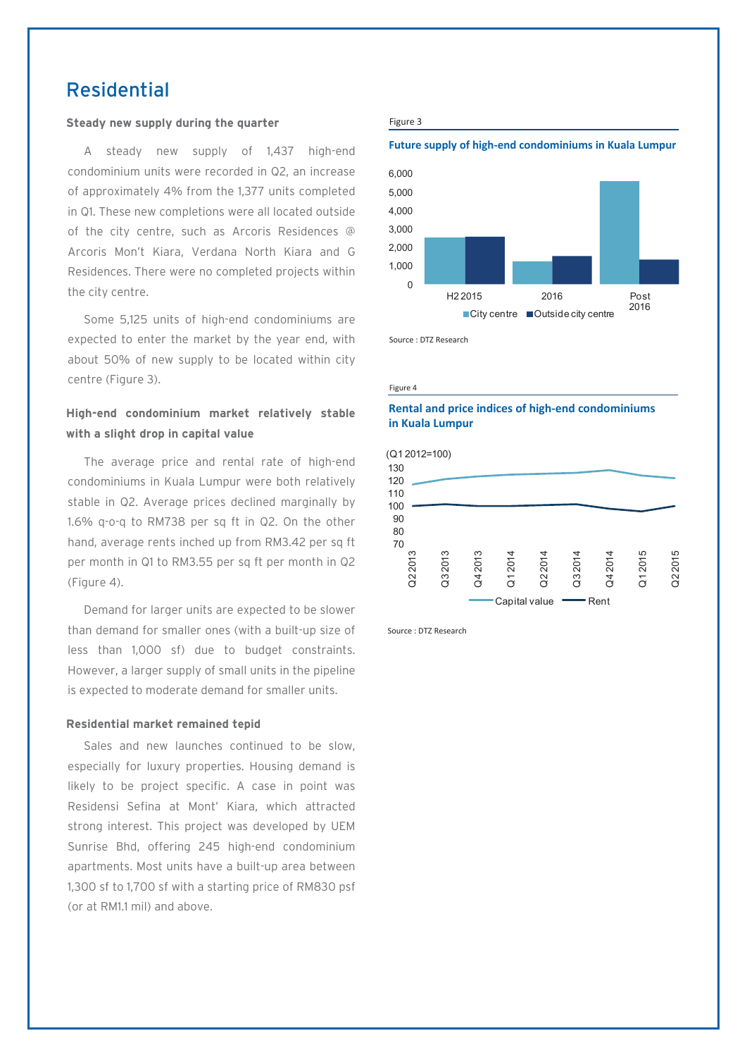### Residential

#### **Steady new supply during the quarter**

A steady new supply of 1,437 high-end condominium units were recorded in Q2, an increase of approximately 4% from the 1,377 units completed in Q1. These new completions were all located outside of the city centre, such as Arcoris Residences @ Arcoris Mon't Kiara, Verdana North Kiara and G Residences. There were no completed projects within the city centre.

Some 5,125 units of high-end condominiums are expected to enter the market by the year end, with about 50% of new supply to be located within city centre (Figure 3).

#### **High-end condominium market relatively stable with a slight drop in capital value**

The average price and rental rate of high-end condominiums in Kuala Lumpur were both relatively stable in Q2. Average prices declined marginally by 1.6% q-o-q to RM738 per sq ft in Q2. On the other hand, average rents inched up from RM3.42 per sq ft per month in Q1 to RM3.55 per sq ft per month in Q2 (Figure 4).

Demand for larger units are expected to be slower than demand for smaller ones (with a built-up size of less than 1,000 sf) due to budget constraints. However, a larger supply of small units in the pipeline is expected to moderate demand for smaller units.

#### **Residential market remained tepid**

Sales and new launches continued to be slow, especially for luxury properties. Housing demand is likely to be project specific. A case in point was Residensi Sefina at Mont' Kiara, which attracted strong interest. This project was developed by UEM Sunrise Bhd, offering 245 high-end condominium apartments. Most units have a built-up area between 1,300 sf to 1,700 sf with a starting price of RM830 psf (or at RM1.1 mil) and above.

#### Figure 3

#### **Future supply of high-end condominiums in Kuala Lumpur**



Source : DTZ Research

Figure 4

#### **Rental and price indices of high-end condominiums in Kuala Lumpur**



Source : DTZ Research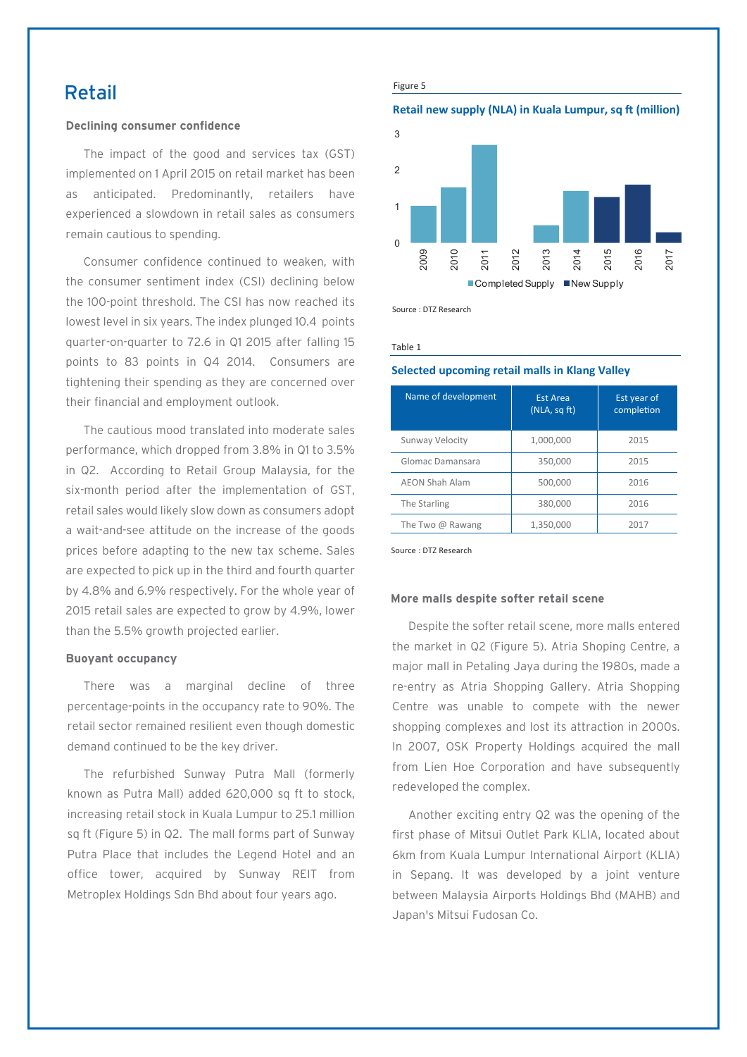### Retail

#### **Declining consumer confidence**

The impact of the good and services tax (GST) implemented on 1 April 2015 on retail market has been anticipated. Predominantly, retailers have experienced a slowdown in retail sales as consumers remain cautious to spending.

Consumer confidence continued to weaken, with the consumer sentiment index (CSI) declining below the 100-point threshold. The CSI has now reached its lowest level in six years. The index plunged 10.4 points quarter-on-quarter to 72.6 in Q1 2015 after falling 15 points to 83 points in Q4 2014. Consumers are tightening their spending as they are concerned over their financial and employment outlook.

The cautious mood translated into moderate sales performance, which dropped from 3.8% in Q1 to 3.5% in Q2. According to Retail Group Malaysia, for the six-month period after the implementation of GST, retail sales would likely slow down as consumers adopt a wait-and-see attitude on the increase of the goods prices before adapting to the new tax scheme. Sales are expected to pick up in the third and fourth quarter by 4.8% and 6.9% respectively. For the whole year of 2015 retail sales are expected to grow by 4.9%, lower than the 5.5% growth projected earlier.

#### **Buoyant occupancy**

There was a marginal decline of three percentage-points in the occupancy rate to 90%. The retail sector remained resilient even though domestic demand continued to be the key driver.

The refurbished Sunway Putra Mall (formerly known as Putra Mall) added 620,000 sq ft to stock, increasing retail stock in Kuala Lumpur to 25.1 million sq ft (Figure 5) in Q2. The mall forms part of Sunway Putra Place that includes the Legend Hotel and an office tower, acquired by Sunway REIT from Metroplex Holdings Sdn Bhd about four years ago.

Figure 5

#### **Retail new supply (NLA) in Kuala Lumpur, sq ft (million)**



Source : DTZ Research

Table 1

#### **Selected upcoming retail malls in Klang Valley**

| Name of development     | <b>Est Area</b><br>(NLA, sqft) | Est year of<br>completion |
|-------------------------|--------------------------------|---------------------------|
| Sunway Velocity         | 1,000,000                      | 2015                      |
| Glomac Damansara        | 350,000                        | 2015                      |
| <b>AEON Shah Alam</b>   | 500,000                        | 2016                      |
| The Starling            | 380,000                        | 2016                      |
| The Two $\omega$ Rawang | 1,350,000                      | 2017                      |

Source : DTZ Research

#### **More malls despite softer retail scene**

Despite the softer retail scene, more malls entered the market in Q2 (Figure 5). Atria Shoping Centre, a major mall in Petaling Jaya during the 1980s, made a re-entry as Atria Shopping Gallery. Atria Shopping Centre was unable to compete with the newer shopping complexes and lost its attraction in 2000s. In 2007, OSK Property Holdings acquired the mall from Lien Hoe Corporation and have subsequently redeveloped the complex.

Another exciting entry Q2 was the opening of the first phase of Mitsui Outlet Park KLIA, located about 6km from Kuala Lumpur International Airport (KLIA) in Sepang. It was developed by a joint venture between Malaysia Airports Holdings Bhd (MAHB) and Japan's Mitsui Fudosan Co.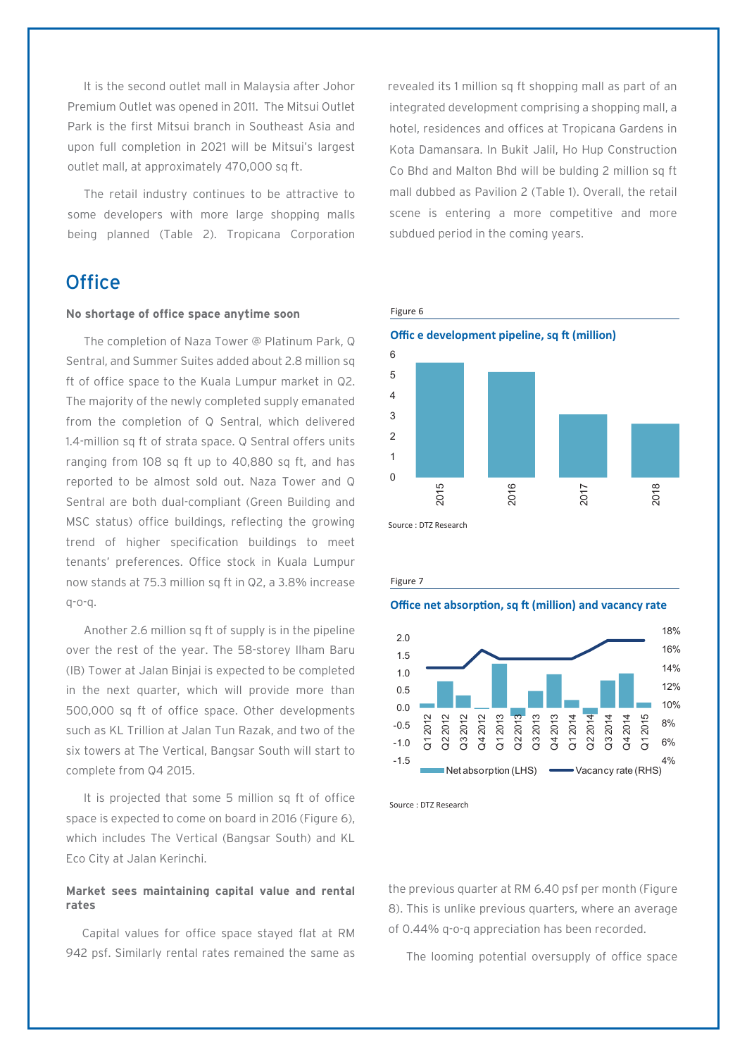It is the second outlet mall in Malaysia after Johor Premium Outlet was opened in 2011. The Mitsui Outlet Park is the first Mitsui branch in Southeast Asia and upon full completion in 2021 will be Mitsui's largest outlet mall, at approximately 470,000 sq ft.

The retail industry continues to be attractive to some developers with more large shopping malls being planned (Table 2). Tropicana Corporation

### **Office**

#### **No shortage of office space anytime soon**

The completion of Naza Tower @ Platinum Park, Q Sentral, and Summer Suites added about 2.8 million sq ft of office space to the Kuala Lumpur market in Q2. The majority of the newly completed supply emanated from the completion of Q Sentral, which delivered 1.4-million sq ft of strata space. Q Sentral offers units ranging from 108 sq ft up to 40,880 sq ft, and has reported to be almost sold out. Naza Tower and Q Sentral are both dual-compliant (Green Building and MSC status) office buildings, reflecting the growing trend of higher specification buildings to meet tenants' preferences. Office stock in Kuala Lumpur now stands at 75.3 million sq ft in Q2, a 3.8% increase q-o-q.

Another 2.6 million sq ft of supply is in the pipeline over the rest of the year. The 58-storey Ilham Baru (IB) Tower at Jalan Binjai is expected to be completed in the next quarter, which will provide more than 500,000 sq ft of office space. Other developments such as KL Trillion at Jalan Tun Razak, and two of the six towers at The Vertical, Bangsar South will start to complete from Q4 2015.

It is projected that some 5 million sq ft of office space is expected to come on board in 2016 (Figure 6), which includes The Vertical (Bangsar South) and KL Eco City at Jalan Kerinchi.

#### **Market sees maintaining capital value and rental rates**

Capital values for office space stayed flat at RM 942 psf. Similarly rental rates remained the same as revealed its 1 million sq ft shopping mall as part of an integrated development comprising a shopping mall, a hotel, residences and offices at Tropicana Gardens in Kota Damansara. In Bukit Jalil, Ho Hup Construction Co Bhd and Malton Bhd will be bulding 2 million sq ft mall dubbed as Pavilion 2 (Table 1). Overall, the retail scene is entering a more competitive and more subdued period in the coming years.



Source : DTZ Research

#### Figure 7

#### **Office net absorption, sq ft (million) and vacancy rate**



Source : DTZ Research

the previous quarter at RM 6.40 psf per month (Figure 8). This is unlike previous quarters, where an average of 0.44% q-o-q appreciation has been recorded.

The looming potential oversupply of office space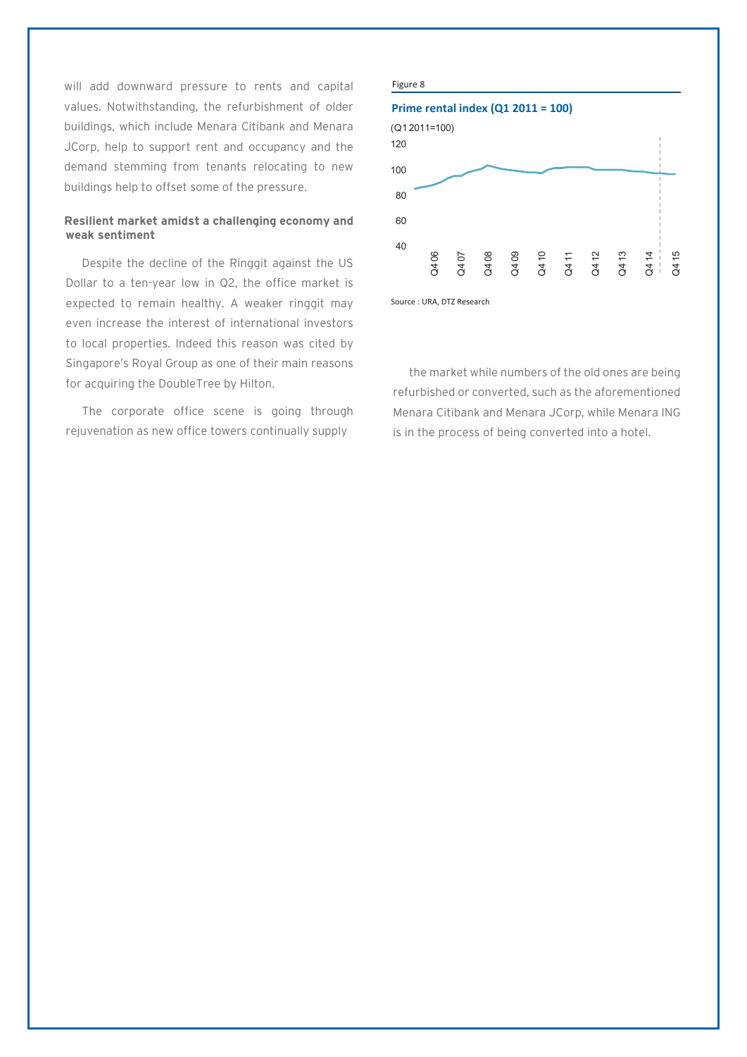will add downward pressure to rents and capital values. Notwithstanding, the refurbishment of older buildings, which include Menara Citibank and Menara JCorp, help to support rent and occupancy and the demand stemming from tenants relocating to new buildings help to offset some of the pressure.

#### **Resilient market amidst a challenging economy and weak sentiment**

Despite the decline of the Ringgit against the US Dollar to a ten-year low in Q2, the office market is expected to remain healthy. A weaker ringgit may even increase the interest of international investors to local properties. Indeed this reason was cited by Singapore's Royal Group as one of their main reasons for acquiring the DoubleTree by Hilton.

The corporate office scene is going through rejuvenation as new office towers continually supply



Source : URA, DTZ Research

the market while numbers of the old ones are being refurbished or converted, such as the aforementioned Menara Citibank and Menara JCorp, while Menara ING is in the process of being converted into a hotel.